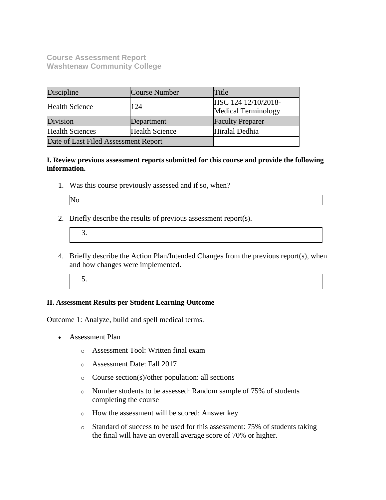**Course Assessment Report Washtenaw Community College**

| Discipline<br>Course Number                     |            | Title                                             |  |
|-------------------------------------------------|------------|---------------------------------------------------|--|
| <b>Health Science</b>                           | 124        | HSC 124 12/10/2018-<br><b>Medical Terminology</b> |  |
| Division                                        | Department | <b>Faculty Preparer</b>                           |  |
| <b>Health Sciences</b><br><b>Health Science</b> |            | Hiralal Dedhia                                    |  |
| Date of Last Filed Assessment Report            |            |                                                   |  |

**I. Review previous assessment reports submitted for this course and provide the following information.**

1. Was this course previously assessed and if so, when?

| ۰.<br>٠<br>۰. |  |
|---------------|--|
|---------------|--|

2. Briefly describe the results of previous assessment report(s).

- 4. Briefly describe the Action Plan/Intended Changes from the previous report(s), when and how changes were implemented.
	- 5.

## **II. Assessment Results per Student Learning Outcome**

Outcome 1: Analyze, build and spell medical terms.

- Assessment Plan
	- o Assessment Tool: Written final exam
	- o Assessment Date: Fall 2017
	- o Course section(s)/other population: all sections
	- o Number students to be assessed: Random sample of 75% of students completing the course
	- o How the assessment will be scored: Answer key
	- o Standard of success to be used for this assessment: 75% of students taking the final will have an overall average score of 70% or higher.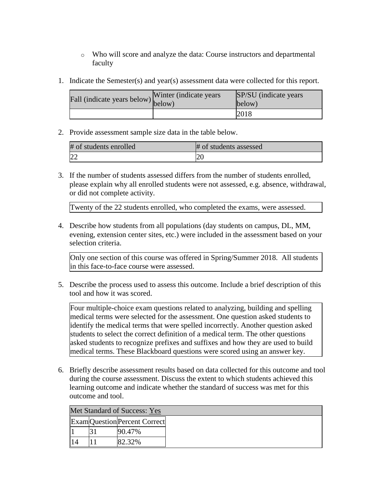- o Who will score and analyze the data: Course instructors and departmental faculty
- 1. Indicate the Semester(s) and year(s) assessment data were collected for this report.

| Fall (indicate years below) $\begin{bmatrix}$ <sup>w muer</sup> below) | Winter (indicate years) | SP/SU (indicate years)<br>below) |
|------------------------------------------------------------------------|-------------------------|----------------------------------|
|                                                                        |                         | 2018                             |

2. Provide assessment sample size data in the table below.

| # of students enrolled | # of students assessed |
|------------------------|------------------------|
|                        | ∠∪                     |

3. If the number of students assessed differs from the number of students enrolled, please explain why all enrolled students were not assessed, e.g. absence, withdrawal, or did not complete activity.

Twenty of the 22 students enrolled, who completed the exams, were assessed.

4. Describe how students from all populations (day students on campus, DL, MM, evening, extension center sites, etc.) were included in the assessment based on your selection criteria.

Only one section of this course was offered in Spring/Summer 2018. All students in this face-to-face course were assessed.

5. Describe the process used to assess this outcome. Include a brief description of this tool and how it was scored.

Four multiple-choice exam questions related to analyzing, building and spelling medical terms were selected for the assessment. One question asked students to identify the medical terms that were spelled incorrectly. Another question asked students to select the correct definition of a medical term. The other questions asked students to recognize prefixes and suffixes and how they are used to build medical terms. These Blackboard questions were scored using an answer key.

6. Briefly describe assessment results based on data collected for this outcome and tool during the course assessment. Discuss the extent to which students achieved this learning outcome and indicate whether the standard of success was met for this outcome and tool.

| Met Standard of Success: Yes |  |                                     |  |  |  |
|------------------------------|--|-------------------------------------|--|--|--|
|                              |  | <b>ExamQuestion</b> Percent Correct |  |  |  |
|                              |  | $90.47\%$                           |  |  |  |
|                              |  | 82.32%                              |  |  |  |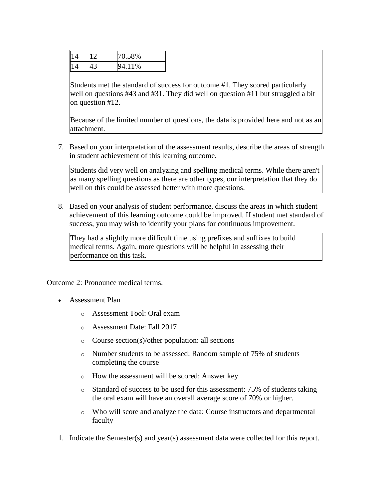| 14 | 12 | 70.58%      |
|----|----|-------------|
| 14 | 43 | 4.11%<br>94 |

Students met the standard of success for outcome #1. They scored particularly well on questions #43 and #31. They did well on question #11 but struggled a bit on question #12.

Because of the limited number of questions, the data is provided here and not as an attachment.

7. Based on your interpretation of the assessment results, describe the areas of strength in student achievement of this learning outcome.

Students did very well on analyzing and spelling medical terms. While there aren't as many spelling questions as there are other types, our interpretation that they do well on this could be assessed better with more questions.

8. Based on your analysis of student performance, discuss the areas in which student achievement of this learning outcome could be improved. If student met standard of success, you may wish to identify your plans for continuous improvement.

They had a slightly more difficult time using prefixes and suffixes to build medical terms. Again, more questions will be helpful in assessing their performance on this task.

Outcome 2: Pronounce medical terms.

- Assessment Plan
	- o Assessment Tool: Oral exam
	- o Assessment Date: Fall 2017
	- o Course section(s)/other population: all sections
	- o Number students to be assessed: Random sample of 75% of students completing the course
	- o How the assessment will be scored: Answer key
	- o Standard of success to be used for this assessment: 75% of students taking the oral exam will have an overall average score of 70% or higher.
	- o Who will score and analyze the data: Course instructors and departmental faculty
- 1. Indicate the Semester(s) and year(s) assessment data were collected for this report.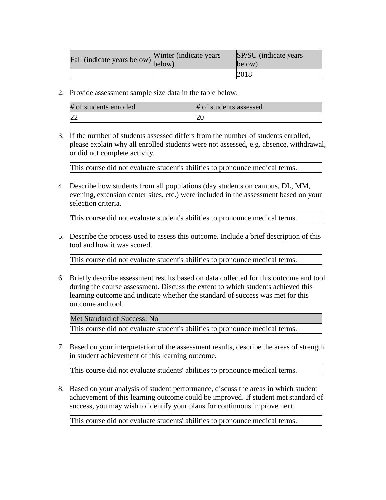| riall (indicate years below) below) | Winter (indicate years) | SP/SU (indicate years)<br>below) |
|-------------------------------------|-------------------------|----------------------------------|
|                                     |                         | 2018                             |

2. Provide assessment sample size data in the table below.

| # of students enrolled | # of students assessed |
|------------------------|------------------------|
| <sup>22</sup>          |                        |

3. If the number of students assessed differs from the number of students enrolled, please explain why all enrolled students were not assessed, e.g. absence, withdrawal, or did not complete activity.

This course did not evaluate student's abilities to pronounce medical terms.

4. Describe how students from all populations (day students on campus, DL, MM, evening, extension center sites, etc.) were included in the assessment based on your selection criteria.

This course did not evaluate student's abilities to pronounce medical terms.

5. Describe the process used to assess this outcome. Include a brief description of this tool and how it was scored.

This course did not evaluate student's abilities to pronounce medical terms.

6. Briefly describe assessment results based on data collected for this outcome and tool during the course assessment. Discuss the extent to which students achieved this learning outcome and indicate whether the standard of success was met for this outcome and tool.

Met Standard of Success: No

This course did not evaluate student's abilities to pronounce medical terms.

7. Based on your interpretation of the assessment results, describe the areas of strength in student achievement of this learning outcome.

This course did not evaluate students' abilities to pronounce medical terms.

8. Based on your analysis of student performance, discuss the areas in which student achievement of this learning outcome could be improved. If student met standard of success, you may wish to identify your plans for continuous improvement.

This course did not evaluate students' abilities to pronounce medical terms.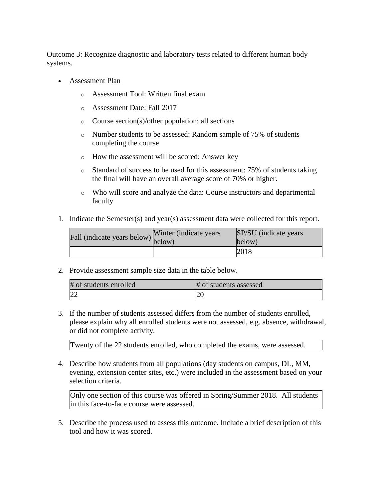Outcome 3: Recognize diagnostic and laboratory tests related to different human body systems.

- Assessment Plan
	- o Assessment Tool: Written final exam
	- o Assessment Date: Fall 2017
	- o Course section(s)/other population: all sections
	- o Number students to be assessed: Random sample of 75% of students completing the course
	- o How the assessment will be scored: Answer key
	- o Standard of success to be used for this assessment: 75% of students taking the final will have an overall average score of 70% or higher.
	- o Who will score and analyze the data: Course instructors and departmental faculty
- 1. Indicate the Semester(s) and year(s) assessment data were collected for this report.

| Fall (indicate years below) $\begin{bmatrix} w \text{ finite} \\ below \end{bmatrix}$ | Winter (indicate years) | SP/SU (indicate years)<br>below) |
|---------------------------------------------------------------------------------------|-------------------------|----------------------------------|
|                                                                                       |                         | 2018                             |

2. Provide assessment sample size data in the table below.

| # of students enrolled | # of students assessed |
|------------------------|------------------------|
| 22                     |                        |

3. If the number of students assessed differs from the number of students enrolled, please explain why all enrolled students were not assessed, e.g. absence, withdrawal, or did not complete activity.

Twenty of the 22 students enrolled, who completed the exams, were assessed.

4. Describe how students from all populations (day students on campus, DL, MM, evening, extension center sites, etc.) were included in the assessment based on your selection criteria.

Only one section of this course was offered in Spring/Summer 2018. All students in this face-to-face course were assessed.

5. Describe the process used to assess this outcome. Include a brief description of this tool and how it was scored.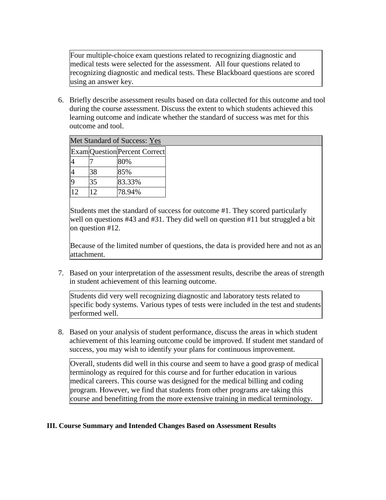Four multiple-choice exam questions related to recognizing diagnostic and medical tests were selected for the assessment. All four questions related to recognizing diagnostic and medical tests. These Blackboard questions are scored using an answer key.

6. Briefly describe assessment results based on data collected for this outcome and tool during the course assessment. Discuss the extent to which students achieved this learning outcome and indicate whether the standard of success was met for this outcome and tool.

| ivici stanuaru of success. Tes |    |                                      |  |
|--------------------------------|----|--------------------------------------|--|
|                                |    | <b>Exam</b> Question Percent Correct |  |
| 4                              |    | 80%                                  |  |
| 4                              | 38 | 85%                                  |  |
| 9                              | 35 | 83.33%                               |  |
| 12                             | 12 | 78.94%                               |  |

Met Standard of Success: Yes

Students met the standard of success for outcome #1. They scored particularly well on questions #43 and #31. They did well on question #11 but struggled a bit on question #12.

Because of the limited number of questions, the data is provided here and not as an attachment.

7. Based on your interpretation of the assessment results, describe the areas of strength in student achievement of this learning outcome.

Students did very well recognizing diagnostic and laboratory tests related to specific body systems. Various types of tests were included in the test and students performed well.

8. Based on your analysis of student performance, discuss the areas in which student achievement of this learning outcome could be improved. If student met standard of success, you may wish to identify your plans for continuous improvement.

Overall, students did well in this course and seem to have a good grasp of medical terminology as required for this course and for further education in various medical careers. This course was designed for the medical billing and coding program. However, we find that students from other programs are taking this course and benefitting from the more extensive training in medical terminology.

## **III. Course Summary and Intended Changes Based on Assessment Results**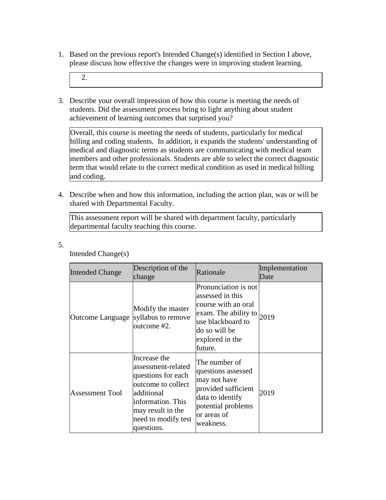1. Based on the previous report's Intended Change(s) identified in Section I above, please discuss how effective the changes were in improving student learning.

2.

3. Describe your overall impression of how this course is meeting the needs of students. Did the assessment process bring to light anything about student achievement of learning outcomes that surprised you?

Overall, this course is meeting the needs of students, particularly for medical billing and coding students. In addition, it expands the students' understanding of medical and diagnostic terms as students are communicating with medical team members and other professionals. Students are able to select the correct diagnostic term that would relate to the correct medical condition as used in medical billing and coding.

4. Describe when and how this information, including the action plan, was or will be shared with Departmental Faculty.

This assessment report will be shared with department faculty, particularly departmental faculty teaching this course.

5.

| <b>Intended Change</b> | Description of the<br>change                                                                                                                                                | Rationale                                                                                                                                                             | Implementation<br>Date |
|------------------------|-----------------------------------------------------------------------------------------------------------------------------------------------------------------------------|-----------------------------------------------------------------------------------------------------------------------------------------------------------------------|------------------------|
| Outcome Language       | Modify the master<br>syllabus to remove<br>outcome #2.                                                                                                                      | Pronunciation is not<br>assessed in this<br>course with an oral<br>exam. The ability to $_{2019}$<br>use blackboard to<br>do so will be<br>explored in the<br>future. |                        |
| <b>Assessment Tool</b> | Increase the<br>assessment-related<br>questions for each<br>outcome to collect<br>additional<br>information. This<br>may result in the<br>need to modify test<br>questions. | The number of<br>questions assessed<br>may not have<br>provided sufficient<br>data to identify<br>potential problems<br>or areas of<br>weakness.                      | 2019                   |

Intended Change(s)